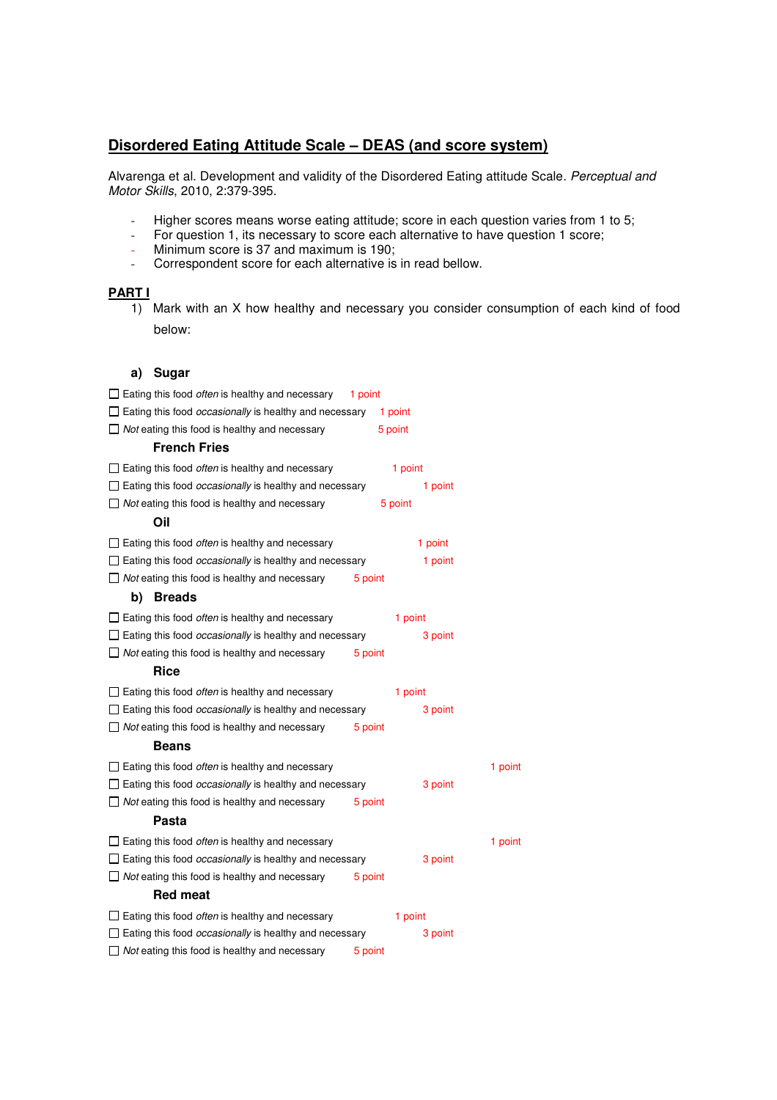# **Disordered Eating Attitude Scale – DEAS (and score system)**

Alvarenga et al. Development and validity of the Disordered Eating attitude Scale. Perceptual and Motor Skills, 2010, 2:379-395.

- Higher scores means worse eating attitude; score in each question varies from 1 to 5;
- For question 1, its necessary to score each alternative to have question 1 score;
- Minimum score is 37 and maximum is 190;
- Correspondent score for each alternative is in read bellow.

### **PART I**

1) Mark with an X how healthy and necessary you consider consumption of each kind of food below:

### **a) Sugar**

| $\Box$ Eating this food <i>often</i> is healthy and necessary        | 1 point |         |         |
|----------------------------------------------------------------------|---------|---------|---------|
| $\Box$ Eating this food <i>occasionally</i> is healthy and necessary |         | 1 point |         |
| $\Box$ Not eating this food is healthy and necessary                 |         | 5 point |         |
| <b>French Fries</b>                                                  |         |         |         |
| $\Box$ Eating this food <i>often</i> is healthy and necessary        |         | 1 point |         |
| $\Box$ Eating this food <i>occasionally</i> is healthy and necessary |         | 1 point |         |
| $\Box$ Not eating this food is healthy and necessary                 |         | 5 point |         |
| Oil                                                                  |         |         |         |
| $\Box$ Eating this food <i>often</i> is healthy and necessary        |         | 1 point |         |
| $\Box$ Eating this food <i>occasionally</i> is healthy and necessary |         | 1 point |         |
| $\Box$ Not eating this food is healthy and necessary                 | 5 point |         |         |
| b)<br><b>Breads</b>                                                  |         |         |         |
| $\Box$ Eating this food <i>often</i> is healthy and necessary        |         | 1 point |         |
| $\Box$ Eating this food <i>occasionally</i> is healthy and necessary |         | 3 point |         |
| $\Box$ Not eating this food is healthy and necessary                 | 5 point |         |         |
| <b>Rice</b>                                                          |         |         |         |
| $\Box$ Eating this food <i>often</i> is healthy and necessary        |         | 1 point |         |
| $\Box$ Eating this food <i>occasionally</i> is healthy and necessary |         | 3 point |         |
| $\Box$ Not eating this food is healthy and necessary                 | 5 point |         |         |
| Beans                                                                |         |         |         |
| $\Box$ Eating this food <i>often</i> is healthy and necessary        |         |         | 1 point |
| $\Box$ Eating this food <i>occasionally</i> is healthy and necessary |         | 3 point |         |
| $\Box$ Not eating this food is healthy and necessary                 | 5 point |         |         |
| Pasta                                                                |         |         |         |
| $\Box$ Eating this food <i>often</i> is healthy and necessary        |         |         | 1 point |
| $\Box$ Eating this food <i>occasionally</i> is healthy and necessary |         | 3 point |         |
| $\Box$ Not eating this food is healthy and necessary                 | 5 point |         |         |
| <b>Red meat</b>                                                      |         |         |         |
| $\Box$ Eating this food <i>often</i> is healthy and necessary        |         | 1 point |         |
| $\Box$ Eating this food <i>occasionally</i> is healthy and necessary |         | 3 point |         |
| $\Box$ Not eating this food is healthy and necessary                 | 5 point |         |         |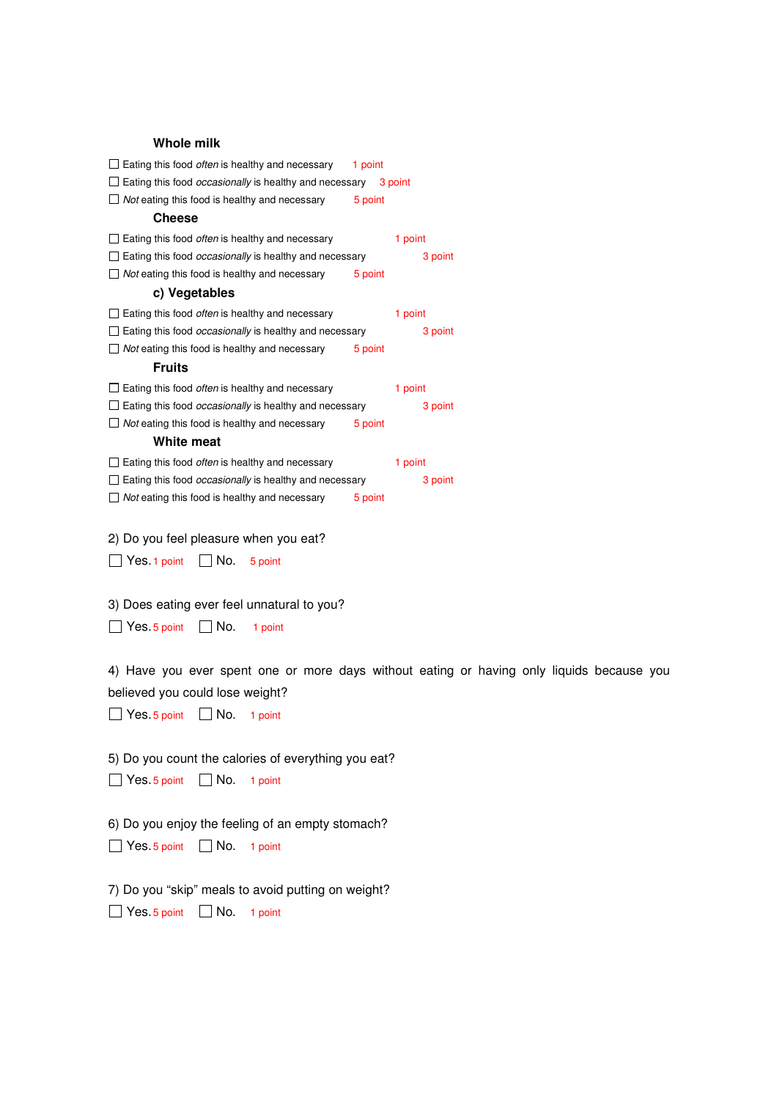#### **Whole milk**

| $\Box$ Eating this food <i>often</i> is healthy and necessary                | 1 point |         |
|------------------------------------------------------------------------------|---------|---------|
| $\Box$ Eating this food <i>occasionally</i> is healthy and necessary 3 point |         |         |
| $\Box$ Not eating this food is healthy and necessary                         | 5 point |         |
| <b>Cheese</b>                                                                |         |         |
| $\Box$ Eating this food <i>often</i> is healthy and necessary                |         | 1 point |
| $\Box$ Eating this food <i>occasionally</i> is healthy and necessary         |         | 3 point |
| $\Box$ Not eating this food is healthy and necessary                         | 5 point |         |
| c) Vegetables                                                                |         |         |
| $\Box$ Eating this food <i>often</i> is healthy and necessary                |         | 1 point |
| $\Box$ Eating this food <i>occasionally</i> is healthy and necessary         |         | 3 point |
| $\Box$ Not eating this food is healthy and necessary                         | 5 point |         |
| <b>Fruits</b>                                                                |         |         |
| $\Box$ Eating this food <i>often</i> is healthy and necessary                |         | 1 point |
| $\Box$ Eating this food <i>occasionally</i> is healthy and necessary         |         | 3 point |
| $\Box$ Not eating this food is healthy and necessary                         | 5 point |         |
| White meat                                                                   |         |         |
| $\Box$ Eating this food <i>often</i> is healthy and necessary                |         | 1 point |
| $\Box$ Eating this food <i>occasionally</i> is healthy and necessary         |         | 3 point |
| $\Box$ Not eating this food is healthy and necessary                         | 5 point |         |
|                                                                              |         |         |
| 2) Do you feel pleasure when you eat?                                        |         |         |
| l INo.<br>Yes. 1 point<br>5 point                                            |         |         |
|                                                                              |         |         |

3) Does eating ever feel unnatural to you?

Yes. 5 point No. 1 point

4) Have you ever spent one or more days without eating or having only liquids because you believed you could lose weight?

 $\Box$  Yes. 5 point  $\Box$  No. 1 point

5) Do you count the calories of everything you eat?  $\Box$  Yes. 5 point  $\Box$  No. 1 point

6) Do you enjoy the feeling of an empty stomach?  $\Box$  Yes. 5 point  $\Box$  No. 1 point

7) Do you "skip" meals to avoid putting on weight?  $\Box$  Yes. 5 point  $\Box$  No. 1 point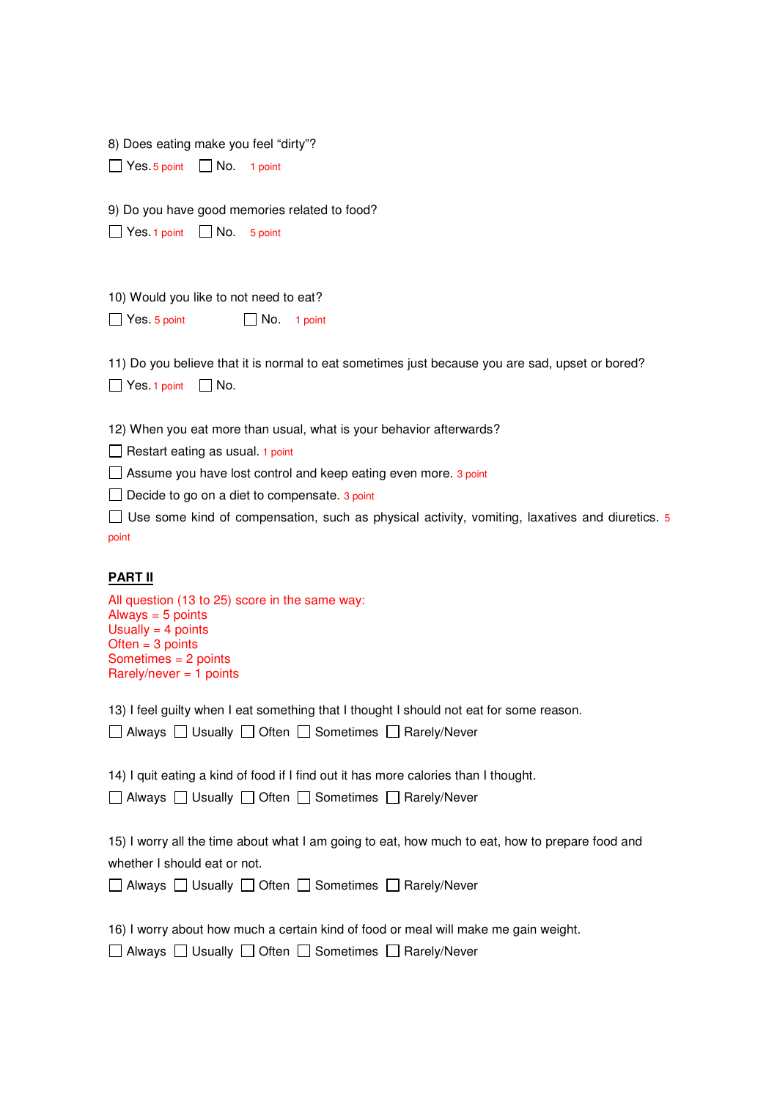| 8) Does eating make you feel "dirty"?                                                              |
|----------------------------------------------------------------------------------------------------|
| $\Box$ Yes. 5 point $\Box$ No. 1 point                                                             |
| 9) Do you have good memories related to food?                                                      |
| $\Box$ Yes. 1 point $\Box$ No.<br>5 point                                                          |
| 10) Would you like to not need to eat?                                                             |
| $\Box$ Yes. 5 point<br>$\Box$ No. 1 point                                                          |
| 11) Do you believe that it is normal to eat sometimes just because you are sad, upset or bored?    |
| $\Box$ Yes. 1 point<br>$\Box$ No.                                                                  |
| 12) When you eat more than usual, what is your behavior afterwards?                                |
| Restart eating as usual. 1 point                                                                   |
| $\Box$ Assume you have lost control and keep eating even more. 3 point                             |
| Decide to go on a diet to compensate. 3 point<br>$\perp$                                           |
| □ Use some kind of compensation, such as physical activity, vomiting, laxatives and diuretics. $5$ |

point

## **PART II**

| All question (13 to 25) score in the same way: |
|------------------------------------------------|
| Always $=$ 5 points                            |
| Usually = $4$ points                           |
| Often $=$ 3 points                             |
| Sometimes $= 2$ points                         |
| Rarely/never = 1 points                        |
|                                                |

13) I feel guilty when I eat something that I thought I should not eat for some reason.

□ Always □ Usually □ Often □ Sometimes □ Rarely/Never

14) I quit eating a kind of food if I find out it has more calories than I thought.

□ Always □ Usually □ Often □ Sometimes □ Rarely/Never

15) I worry all the time about what I am going to eat, how much to eat, how to prepare food and whether I should eat or not.

|  |  |  |  |  | □ Always □ Usually □ Often □ Sometimes □ Rarely/Never |
|--|--|--|--|--|-------------------------------------------------------|
|--|--|--|--|--|-------------------------------------------------------|

16) I worry about how much a certain kind of food or meal will make me gain weight.

 $\Box$  Always  $\Box$  Usually  $\Box$  Often  $\Box$  Sometimes  $\Box$  Rarely/Never